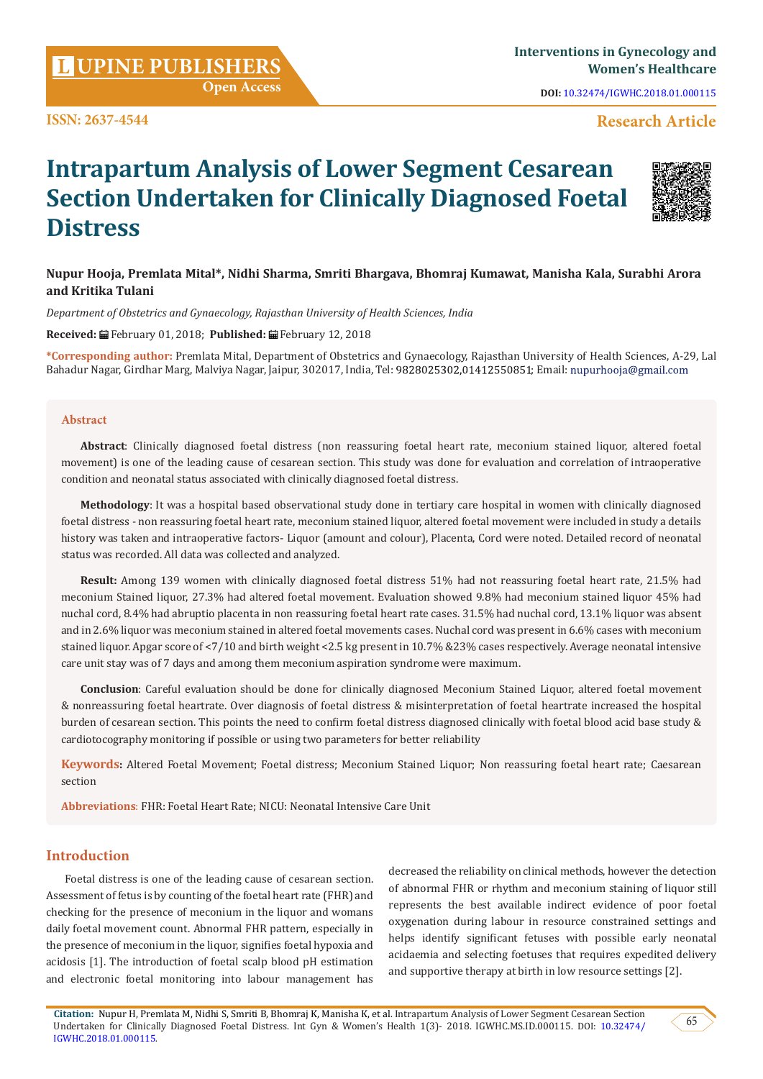**Citation:** Nupur H, Premlata M, Nidhi S, Smriti B, Bhomraj K, Manisha K, et al. Intrapartum Analysis of Lower Segment Cesarean Section Undertaken for Clinically Diagnosed Foetal Distress. Int Gyn & Women's Health 1(3)- 2018. IGWHC.MS.ID.000115. DOI: [10.32474/](http://dx.doi.org/10.32474/IGWHC.2018.01.000115) [IGWHC.2018.01.000115.](http://dx.doi.org/10.32474/IGWHC.2018.01.000115)

**ISSN: 2637-4544**

**Distress**

# **UPINE PUBLISHERS <sup>L</sup> Interventions in Gynecology and Open Access**

**Intrapartum Analysis of Lower Segment Cesarean** 

**Section Undertaken for Clinically Diagnosed Foetal** 

**Nupur Hooja, Premlata Mital\*, Nidhi Sharma, Smriti Bhargava, Bhomraj Kumawat, Manisha Kala, Surabhi Arora and Kritika Tulani**

*Department of Obstetrics and Gynaecology, Rajasthan University of Health Sciences, India*

**Received:** February 01, 2018; **Published:** February 12, 2018

**\*Corresponding author:** Premlata Mital, Department of Obstetrics and Gynaecology, Rajasthan University of Health Sciences, A-29, Lal Bahadur Nagar, Girdhar Marg, Malviya Nagar, Jaipur, 302017, India, Tel: 9828025302,01412550851; Email: nupurhooja@gmail.com

#### **Abstract**

**Abstract**: Clinically diagnosed foetal distress (non reassuring foetal heart rate, meconium stained liquor, altered foetal movement) is one of the leading cause of cesarean section. This study was done for evaluation and correlation of intraoperative condition and neonatal status associated with clinically diagnosed foetal distress.

**Methodology**: It was a hospital based observational study done in tertiary care hospital in women with clinically diagnosed foetal distress - non reassuring foetal heart rate, meconium stained liquor, altered foetal movement were included in study a details history was taken and intraoperative factors- Liquor (amount and colour), Placenta, Cord were noted. Detailed record of neonatal status was recorded. All data was collected and analyzed.

**Result:** Among 139 women with clinically diagnosed foetal distress 51% had not reassuring foetal heart rate, 21.5% had meconium Stained liquor, 27.3% had altered foetal movement. Evaluation showed 9.8% had meconium stained liquor 45% had nuchal cord, 8.4% had abruptio placenta in non reassuring foetal heart rate cases. 31.5% had nuchal cord, 13.1% liquor was absent and in 2.6% liquor was meconium stained in altered foetal movements cases. Nuchal cord was present in 6.6% cases with meconium stained liquor. Apgar score of <7/10 and birth weight <2.5 kg present in 10.7% &23% cases respectively. Average neonatal intensive care unit stay was of 7 days and among them meconium aspiration syndrome were maximum.

**Conclusion**: Careful evaluation should be done for clinically diagnosed Meconium Stained Liquor, altered foetal movement & nonreassuring foetal heartrate. Over diagnosis of foetal distress & misinterpretation of foetal heartrate increased the hospital burden of cesarean section. This points the need to confirm foetal distress diagnosed clinically with foetal blood acid base study & cardiotocography monitoring if possible or using two parameters for better reliability

**Keywords:** Altered Foetal Movement; Foetal distress; Meconium Stained Liquor; Non reassuring foetal heart rate; Caesarean section

**Abbreviations**: FHR: Foetal Heart Rate; NICU: Neonatal Intensive Care Unit

## **Introduction**

Foetal distress is one of the leading cause of cesarean section. Assessment of fetus is by counting of the foetal heart rate (FHR) and checking for the presence of meconium in the liquor and womans daily foetal movement count. Abnormal FHR pattern, especially in the presence of meconium in the liquor, signifies foetal hypoxia and acidosis [1]. The introduction of foetal scalp blood pH estimation and electronic foetal monitoring into labour management has

decreased the reliability on clinical methods, however the detection of abnormal FHR or rhythm and meconium staining of liquor still represents the best available indirect evidence of poor foetal oxygenation during labour in resource constrained settings and helps identify significant fetuses with possible early neonatal acidaemia and selecting foetuses that requires expedited delivery and supportive therapy at birth in low resource settings [2].

**DOI:** [10.32474/IGWHC.2018.01.000115](http://dx.doi.org/10.32474/IGWHC.2018.01.000115)

**Research Article**

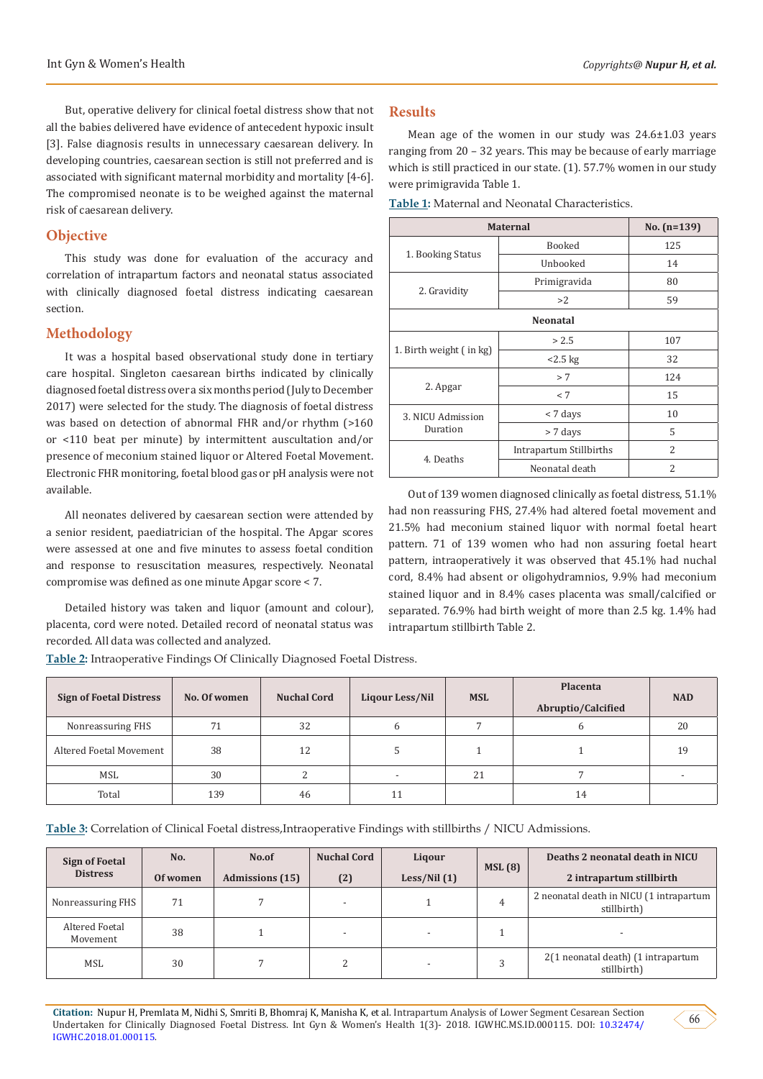But, operative delivery for clinical foetal distress show that not all the babies delivered have evidence of antecedent hypoxic insult [3]. False diagnosis results in unnecessary caesarean delivery. In developing countries, caesarean section is still not preferred and is associated with significant maternal morbidity and mortality [4-6]. The compromised neonate is to be weighed against the maternal risk of caesarean delivery.

#### **Objective**

This study was done for evaluation of the accuracy and correlation of intrapartum factors and neonatal status associated with clinically diagnosed foetal distress indicating caesarean section.

#### **Methodology**

It was a hospital based observational study done in tertiary care hospital. Singleton caesarean births indicated by clinically diagnosed foetal distress over a six months period (July to December 2017) were selected for the study. The diagnosis of foetal distress was based on detection of abnormal FHR and/or rhythm (>160 or <110 beat per minute) by intermittent auscultation and/or presence of meconium stained liquor or Altered Foetal Movement. Electronic FHR monitoring, foetal blood gas or pH analysis were not available.

All neonates delivered by caesarean section were attended by a senior resident, paediatrician of the hospital. The Apgar scores were assessed at one and five minutes to assess foetal condition and response to resuscitation measures, respectively. Neonatal compromise was defined as one minute Apgar score < 7.

Detailed history was taken and liquor (amount and colour), placenta, cord were noted. Detailed record of neonatal status was recorded. All data was collected and analyzed.

**Table 2:** Intraoperative Findings Of Clinically Diagnosed Foetal Distress.

#### **Results**

Mean age of the women in our study was 24.6±1.03 years ranging from 20 – 32 years. This may be because of early marriage which is still practiced in our state. (1). 57.7% women in our study were primigravida Table 1.

**Table 1:** Maternal and Neonatal Characteristics.

| <b>Maternal</b>         | No. $(n=139)$           |                |  |  |  |  |  |  |
|-------------------------|-------------------------|----------------|--|--|--|--|--|--|
|                         | Booked                  | 125            |  |  |  |  |  |  |
| 1. Booking Status       | Unbooked                | 14             |  |  |  |  |  |  |
|                         | Primigravida            | 80             |  |  |  |  |  |  |
| 2. Gravidity            | >2                      | 59             |  |  |  |  |  |  |
| <b>Neonatal</b>         |                         |                |  |  |  |  |  |  |
| 1. Birth weight (in kg) | > 2.5                   | 107            |  |  |  |  |  |  |
|                         | $<2.5$ kg               | 32             |  |  |  |  |  |  |
| 2. Apgar                | > 7                     | 124            |  |  |  |  |  |  |
|                         | < 7                     | 15             |  |  |  |  |  |  |
| 3. NICU Admission       | < 7 days                | 10             |  |  |  |  |  |  |
| Duration                | > 7 days                | 5              |  |  |  |  |  |  |
| 4. Deaths               | Intrapartum Stillbirths | $\overline{2}$ |  |  |  |  |  |  |
|                         | Neonatal death          | $\overline{2}$ |  |  |  |  |  |  |

Out of 139 women diagnosed clinically as foetal distress, 51.1% had non reassuring FHS, 27.4% had altered foetal movement and 21.5% had meconium stained liquor with normal foetal heart pattern. 71 of 139 women who had non assuring foetal heart pattern, intraoperatively it was observed that 45.1% had nuchal cord, 8.4% had absent or oligohydramnios, 9.9% had meconium stained liquor and in 8.4% cases placenta was small/calcified or separated. 76.9% had birth weight of more than 2.5 kg. 1.4% had intrapartum stillbirth Table 2.

| <b>Sign of Foetal Distress</b> | No. Of women | <b>Nuchal Cord</b> | Liqour Less/Nil          | <b>MSL</b> | <b>Placenta</b><br>Abruptio/Calcified | <b>NAD</b> |
|--------------------------------|--------------|--------------------|--------------------------|------------|---------------------------------------|------------|
| Nonreassuring FHS              | 71           | 32                 | 6                        |            | h                                     | 20         |
| Altered Foetal Movement        | 38           | 12                 |                          |            |                                       | 19         |
| MSL                            | 30           | C.<br>∠            | $\overline{\phantom{a}}$ | 21         |                                       |            |
| Total                          | 139          | 46                 | 11                       |            | 14                                    |            |

**Table 3:** Correlation of Clinical Foetal distress,Intraoperative Findings with stillbirths / NICU Admissions.

| Sign of Foetal<br><b>Distress</b> | No.<br>Of women | No.of<br><b>Admissions</b> (15) | <b>Nuchal Cord</b><br>(2) | Ligour<br>Less/Nil(1) | MSL(8) | Deaths 2 neonatal death in NICU<br>2 intrapartum stillbirth |
|-----------------------------------|-----------------|---------------------------------|---------------------------|-----------------------|--------|-------------------------------------------------------------|
| Nonreassuring FHS                 | 71              |                                 | $\overline{\phantom{a}}$  |                       | 4      | 2 neonatal death in NICU (1 intrapartum<br>stillbirth)      |
| Altered Foetal<br>Movement        | 38              |                                 | $\overline{\phantom{a}}$  |                       |        |                                                             |
| MSL                               | 30              |                                 | ∠                         |                       |        | 2(1 neonatal death) (1 intrapartum<br>stillbirth)           |

**Citation:** Nupur H, Premlata M, Nidhi S, Smriti B, Bhomraj K, Manisha K, et al. Intrapartum Analysis of Lower Segment Cesarean Section Undertaken for Clinically Diagnosed Foetal Distress. Int Gyn & Women's Health 1(3)- 2018. IGWHC.MS.ID.000115. DOI: [10.32474/](http://dx.doi.org/10.32474/IGWHC.2018.01.000115) [IGWHC.2018.01.000115](http://dx.doi.org/10.32474/IGWHC.2018.01.000115).

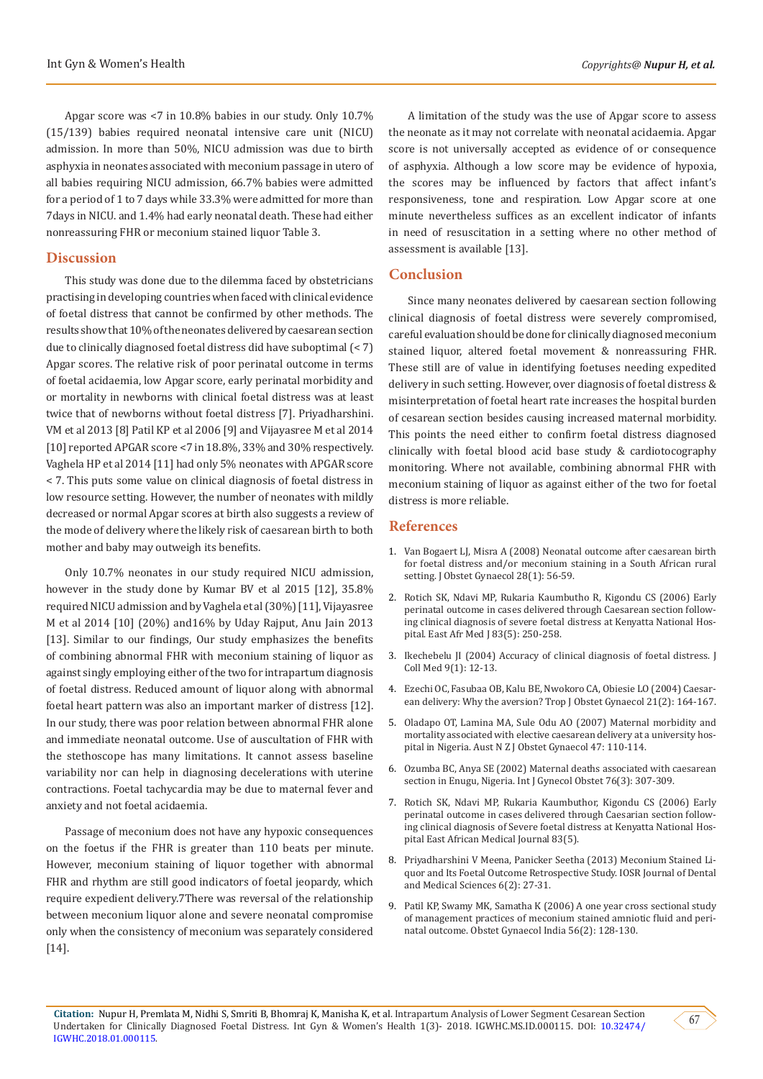Apgar score was <7 in 10.8% babies in our study. Only 10.7% (15/139) babies required neonatal intensive care unit (NICU) admission. In more than 50%, NICU admission was due to birth asphyxia in neonates associated with meconium passage in utero of all babies requiring NICU admission, 66.7% babies were admitted for a period of 1 to 7 days while 33.3% were admitted for more than 7days in NICU. and 1.4% had early neonatal death. These had either nonreassuring FHR or meconium stained liquor Table 3.

### **Discussion**

This study was done due to the dilemma faced by obstetricians practising in developing countries when faced with clinical evidence of foetal distress that cannot be confirmed by other methods. The results show that 10% of the neonates delivered by caesarean section due to clinically diagnosed foetal distress did have suboptimal (< 7) Apgar scores. The relative risk of poor perinatal outcome in terms of foetal acidaemia, low Apgar score, early perinatal morbidity and or mortality in newborns with clinical foetal distress was at least twice that of newborns without foetal distress [7]. Priyadharshini. VM et al 2013 [8] Patil KP et al 2006 [9] and Vijayasree M et al 2014 [10] reported APGAR score <7 in 18.8%, 33% and 30% respectively. Vaghela HP et al 2014 [11] had only 5% neonates with APGAR score < 7. This puts some value on clinical diagnosis of foetal distress in low resource setting. However, the number of neonates with mildly decreased or normal Apgar scores at birth also suggests a review of the mode of delivery where the likely risk of caesarean birth to both mother and baby may outweigh its benefits.

Only 10.7% neonates in our study required NICU admission, however in the study done by Kumar BV et al 2015 [12], 35.8% required NICU admission and by Vaghela et al (30%) [11], Vijayasree M et al 2014 [10] (20%) and16% by Uday Rajput, Anu Jain 2013 [13]. Similar to our findings, Our study emphasizes the benefits of combining abnormal FHR with meconium staining of liquor as against singly employing either of the two for intrapartum diagnosis of foetal distress. Reduced amount of liquor along with abnormal foetal heart pattern was also an important marker of distress [12]. In our study, there was poor relation between abnormal FHR alone and immediate neonatal outcome. Use of auscultation of FHR with the stethoscope has many limitations. It cannot assess baseline variability nor can help in diagnosing decelerations with uterine contractions. Foetal tachycardia may be due to maternal fever and anxiety and not foetal acidaemia.

Passage of meconium does not have any hypoxic consequences on the foetus if the FHR is greater than 110 beats per minute. However, meconium staining of liquor together with abnormal FHR and rhythm are still good indicators of foetal jeopardy, which require expedient delivery.7There was reversal of the relationship between meconium liquor alone and severe neonatal compromise only when the consistency of meconium was separately considered [14].

A limitation of the study was the use of Apgar score to assess the neonate as it may not correlate with neonatal acidaemia. Apgar score is not universally accepted as evidence of or consequence of asphyxia. Although a low score may be evidence of hypoxia, the scores may be influenced by factors that affect infant's responsiveness, tone and respiration. Low Apgar score at one minute nevertheless suffices as an excellent indicator of infants in need of resuscitation in a setting where no other method of assessment is available [13].

#### **Conclusion**

Since many neonates delivered by caesarean section following clinical diagnosis of foetal distress were severely compromised, careful evaluation should be done for clinically diagnosed meconium stained liquor, altered foetal movement & nonreassuring FHR. These still are of value in identifying foetuses needing expedited delivery in such setting. However, over diagnosis of foetal distress & misinterpretation of foetal heart rate increases the hospital burden of cesarean section besides causing increased maternal morbidity. This points the need either to confirm foetal distress diagnosed clinically with foetal blood acid base study & cardiotocography monitoring. Where not available, combining abnormal FHR with meconium staining of liquor as against either of the two for foetal distress is more reliable.

### **References**

- 1. [Van Bogaert LJ, Misra A \(2008\) Neonatal outcome after caesarean birth](https://www.ncbi.nlm.nih.gov/pubmed/18259900) [for foetal distress and/or meconium staining in a South African rural](https://www.ncbi.nlm.nih.gov/pubmed/18259900) [setting. J Obstet Gynaecol 28\(1\): 56-59.](https://www.ncbi.nlm.nih.gov/pubmed/18259900)
- 2. [Rotich SK, Ndavi MP, Rukaria Kaumbutho R, Kigondu CS \(2006\) Early](https://www.ncbi.nlm.nih.gov/pubmed/16866219) [perinatal outcome in cases delivered through Caesarean section follow](https://www.ncbi.nlm.nih.gov/pubmed/16866219)[ing clinical diagnosis of severe foetal distress at Kenyatta National Hos](https://www.ncbi.nlm.nih.gov/pubmed/16866219)[pital. East Afr Med J 83\(5\): 250-258.](https://www.ncbi.nlm.nih.gov/pubmed/16866219)
- 3. [Ikechebelu JI \(2004\) Accuracy of clinical diagnosis of foetal distress. J](https://www.ajol.info/index.php/jcm/article/view/10467) [Coll Med 9\(1\): 12-13.](https://www.ajol.info/index.php/jcm/article/view/10467)
- 4. [Ezechi OC, Fasubaa OB, Kalu BE, Nwokoro CA, Obiesie LO \(2004\) Caesar](https://www.ajol.info/index.php/tjog/article/view/14494)[ean delivery: Why the aversion? Trop J Obstet Gynaecol 21\(2\): 164-167.](https://www.ajol.info/index.php/tjog/article/view/14494)
- 5. [Oladapo OT, Lamina MA, Sule Odu AO \(2007\) Maternal morbidity and](https://www.ajol.info/index.php/tjog/article/view/14494) [mortality associated with elective caesarean delivery at a university hos](https://www.ajol.info/index.php/tjog/article/view/14494)[pital in Nigeria. Aust N Z J Obstet Gynaecol 47: 110-114.](https://www.ajol.info/index.php/tjog/article/view/14494)
- 6. [Ozumba BC, Anya SE \(2002\) Maternal deaths associated with caesarean](https://www.sciencedirect.com/science/article/pii/S002072920100501X) [section in Enugu, Nigeria. Int J Gynecol Obstet 76\(3\): 307-309.](https://www.sciencedirect.com/science/article/pii/S002072920100501X)
- 7. [Rotich SK, Ndavi MP, Rukaria Kaumbuthor, Kigondu CS \(2006\) Early](https://www.ajol.info/index.php/eamj/article/view/9430) [perinatal outcome in cases delivered through Caesarian section follow](https://www.ajol.info/index.php/eamj/article/view/9430)[ing clinical diagnosis of Severe foetal distress at Kenyatta National Hos](https://www.ajol.info/index.php/eamj/article/view/9430)[pital East African Medical Journal 83\(5\).](https://www.ajol.info/index.php/eamj/article/view/9430)
- 8. [Priyadharshini V Meena, Panicker Seetha \(2013\) Meconium Stained Li](http://www.iosrjournals.org/iosr-jdms/papers/Vol6-issue2/D0622731.pdf)[quor and Its Foetal Outcome Retrospective Study. IOSR Journal of Dental](http://www.iosrjournals.org/iosr-jdms/papers/Vol6-issue2/D0622731.pdf) [and Medical Sciences 6\(2\): 27-31.](http://www.iosrjournals.org/iosr-jdms/papers/Vol6-issue2/D0622731.pdf)
- 9. [Patil KP, Swamy MK, Samatha K \(2006\) A one year cross sectional study](http://medind.nic.in/jaq/t06/i2/jaqt06i2p128.pdf) [of management practices of meconium stained amniotic fluid and peri](http://medind.nic.in/jaq/t06/i2/jaqt06i2p128.pdf)[natal outcome. Obstet Gynaecol India 56\(2\): 128-130.](http://medind.nic.in/jaq/t06/i2/jaqt06i2p128.pdf)